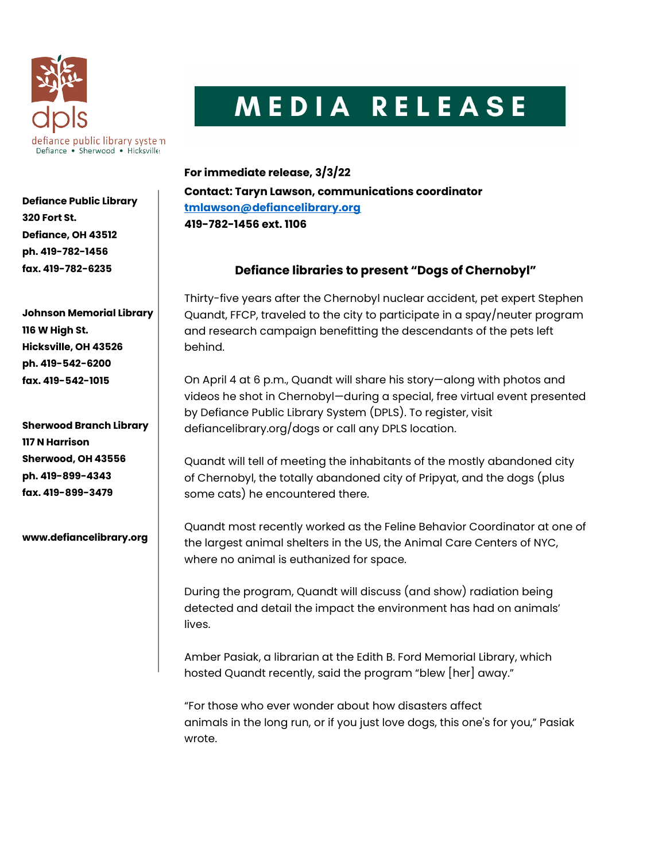

## MEDIA RELEASE

Defiance Public Library 320 Fort St. Defiance, OH 43512 ph. 419-782-1456

Johnson Memorial Library 116 W High St. Hicksville, OH 43526 ph. 419-542-6200 fax. 419-542-1015

fax. 419-782-6235

Sherwood Branch Library 117 N Harrison Sherwood, OH 43556 ph. 419-899-4343 fax. 419-899-3479

www.defiancelibrary.org

For immediate release, 3/3/22 Contact: Taryn Lawson, communications coordinator tmlawson@defiancelibrary.org 419-782-1456 ext. 1106

## Defiance libraries to present "Dogs of Chernobyl"

Thirty-five years after the Chernobyl nuclear accident, pet expert Stephen Quandt, FFCP, traveled to the city to participate in a spay/neuter program and research campaign benefitting the descendants of the pets left behind.

On April 4 at 6 p.m., Quandt will share his story—along with photos and videos he shot in Chernobyl—during a special, free virtual event presented by Defiance Public Library System (DPLS). To register, visit defiancelibrary.org/dogs or call any DPLS location.

Quandt will tell of meeting the inhabitants of the mostly abandoned city of Chernobyl, the totally abandoned city of Pripyat, and the dogs (plus some cats) he encountered there.

Quandt most recently worked as the Feline Behavior Coordinator at one of the largest animal shelters in the US, the Animal Care Centers of NYC, where no animal is euthanized for space.

During the program, Quandt will discuss (and show) radiation being detected and detail the impact the environment has had on animals' lives.

Amber Pasiak, a librarian at the Edith B. Ford Memorial Library, which hosted Quandt recently, said the program "blew [her] away."

"For those who ever wonder about how disasters affect animals in the long run, or if you just love dogs, this one's for you," Pasiak wrote.